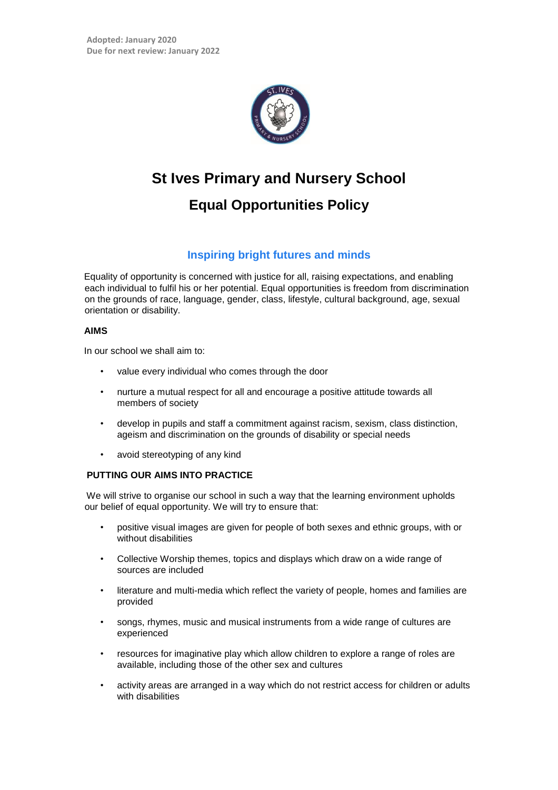

# **St Ives Primary and Nursery School**

## **Equal Opportunities Policy**

### **Inspiring bright futures and minds**

Equality of opportunity is concerned with justice for all, raising expectations, and enabling each individual to fulfil his or her potential. Equal opportunities is freedom from discrimination on the grounds of race, language, gender, class, lifestyle, cultural background, age, sexual orientation or disability.

#### **AIMS**

In our school we shall aim to:

- value every individual who comes through the door
- nurture a mutual respect for all and encourage a positive attitude towards all members of society
- develop in pupils and staff a commitment against racism, sexism, class distinction, ageism and discrimination on the grounds of disability or special needs
- avoid stereotyping of any kind

#### **PUTTING OUR AIMS INTO PRACTICE**

We will strive to organise our school in such a way that the learning environment upholds our belief of equal opportunity. We will try to ensure that:

- positive visual images are given for people of both sexes and ethnic groups, with or without disabilities
- Collective Worship themes, topics and displays which draw on a wide range of sources are included
- literature and multi-media which reflect the variety of people, homes and families are provided
- songs, rhymes, music and musical instruments from a wide range of cultures are experienced
- resources for imaginative play which allow children to explore a range of roles are available, including those of the other sex and cultures
- activity areas are arranged in a way which do not restrict access for children or adults with disabilities